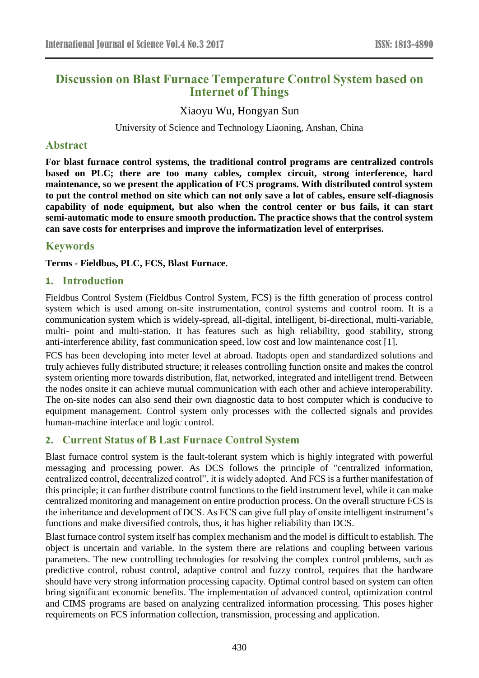# **Discussion on Blast Furnace Temperature Control System based on Internet of Things**

Xiaoyu Wu, Hongyan Sun

University of Science and Technology Liaoning, Anshan, China

#### **Abstract**

**For blast furnace control systems, the traditional control programs are centralized controls based on PLC; there are too many cables, complex circuit, strong interference, hard maintenance, so we present the application of FCS programs. With distributed control system to put the control method on site which can not only save a lot of cables, ensure self-diagnosis capability of node equipment, but also when the control center or bus fails, it can start semi-automatic mode to ensure smooth production. The practice shows that the control system can save costs for enterprises and improve the informatization level of enterprises.**

### **Keywords**

**Terms - Fieldbus, PLC, FCS, Blast Furnace.**

#### **1. Introduction**

Fieldbus Control System (Fieldbus Control System, FCS) is the fifth generation of process control system which is used among on-site instrumentation, control systems and control room. It is a communication system which is widely-spread, all-digital, intelligent, bi-directional, multi-variable, multi- point and multi-station. It has features such as high reliability, good stability, strong anti-interference ability, fast communication speed, low cost and low maintenance cost [1].

FCS has been developing into meter level at abroad. Itadopts open and standardized solutions and truly achieves fully distributed structure; it releases controlling function onsite and makes the control system orienting more towards distribution, flat, networked, integrated and intelligent trend. Between the nodes onsite it can achieve mutual communication with each other and achieve interoperability. The on-site nodes can also send their own diagnostic data to host computer which is conducive to equipment management. Control system only processes with the collected signals and provides human-machine interface and logic control.

### **2. Current Status of B Last Furnace Control System**

Blast furnace control system is the fault-tolerant system which is highly integrated with powerful messaging and processing power. As DCS follows the principle of "centralized information, centralized control, decentralized control", it is widely adopted. And FCS is a further manifestation of this principle; it can further distribute control functions to the field instrument level, while it can make centralized monitoring and management on entire production process. On the overall structure FCS is the inheritance and development of DCS. As FCS can give full play of onsite intelligent instrument's functions and make diversified controls, thus, it has higher reliability than DCS.

Blast furnace control system itself has complex mechanism and the model is difficult to establish. The object is uncertain and variable. In the system there are relations and coupling between various parameters. The new controlling technologies for resolving the complex control problems, such as predictive control, robust control, adaptive control and fuzzy control, requires that the hardware should have very strong information processing capacity. Optimal control based on system can often bring significant economic benefits. The implementation of advanced control, optimization control and CIMS programs are based on analyzing centralized information processing. This poses higher requirements on FCS information collection, transmission, processing and application.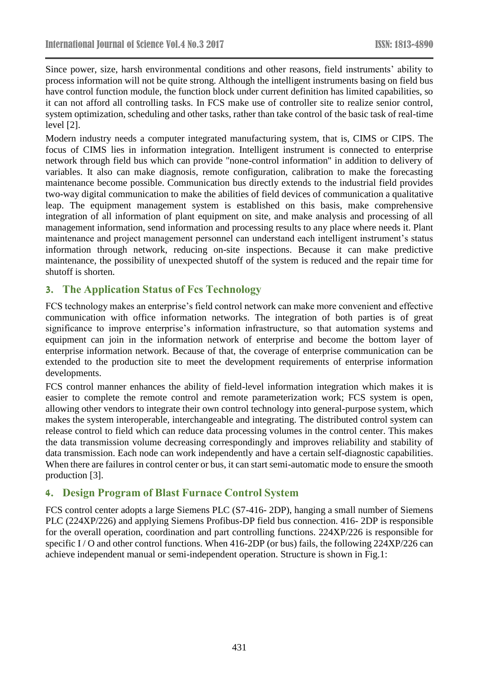Since power, size, harsh environmental conditions and other reasons, field instruments' ability to process information will not be quite strong. Although the intelligent instruments basing on field bus have control function module, the function block under current definition has limited capabilities, so it can not afford all controlling tasks. In FCS make use of controller site to realize senior control, system optimization, scheduling and other tasks, rather than take control of the basic task of real-time level [2].

Modern industry needs a computer integrated manufacturing system, that is, CIMS or CIPS. The focus of CIMS lies in information integration. Intelligent instrument is connected to enterprise network through field bus which can provide "none-control information" in addition to delivery of variables. It also can make diagnosis, remote configuration, calibration to make the forecasting maintenance become possible. Communication bus directly extends to the industrial field provides two-way digital communication to make the abilities of field devices of communication a qualitative leap. The equipment management system is established on this basis, make comprehensive integration of all information of plant equipment on site, and make analysis and processing of all management information, send information and processing results to any place where needs it. Plant maintenance and project management personnel can understand each intelligent instrument's status information through network, reducing on-site inspections. Because it can make predictive maintenance, the possibility of unexpected shutoff of the system is reduced and the repair time for shutoff is shorten.

# **3. The Application Status of Fcs Technology**

FCS technology makes an enterprise's field control network can make more convenient and effective communication with office information networks. The integration of both parties is of great significance to improve enterprise's information infrastructure, so that automation systems and equipment can join in the information network of enterprise and become the bottom layer of enterprise information network. Because of that, the coverage of enterprise communication can be extended to the production site to meet the development requirements of enterprise information developments.

FCS control manner enhances the ability of field-level information integration which makes it is easier to complete the remote control and remote parameterization work; FCS system is open, allowing other vendors to integrate their own control technology into general-purpose system, which makes the system interoperable, interchangeable and integrating. The distributed control system can release control to field which can reduce data processing volumes in the control center. This makes the data transmission volume decreasing correspondingly and improves reliability and stability of data transmission. Each node can work independently and have a certain self-diagnostic capabilities. When there are failures in control center or bus, it can start semi-automatic mode to ensure the smooth production [3].

# **4. Design Program of Blast Furnace Control System**

FCS control center adopts a large Siemens PLC (S7-416- 2DP), hanging a small number of Siemens PLC (224XP/226) and applying Siemens Profibus-DP field bus connection. 416- 2DP is responsible for the overall operation, coordination and part controlling functions. 224XP/226 is responsible for specific I/O and other control functions. When 416-2DP (or bus) fails, the following 224XP/226 can achieve independent manual or semi-independent operation. Structure is shown in Fig.1: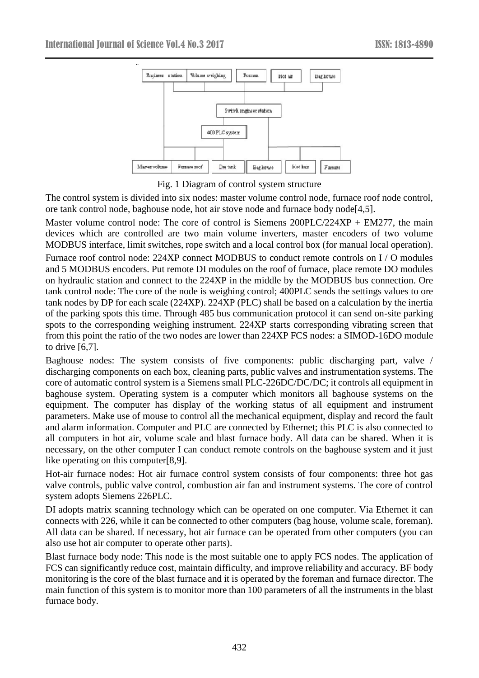

Fig. 1 Diagram of control system structure

The control system is divided into six nodes: master volume control node, furnace roof node control, ore tank control node, baghouse node, hot air stove node and furnace body node[4,5].

Master volume control node: The core of control is Siemens  $200PLC/224XP + EM277$ , the main devices which are controlled are two main volume inverters, master encoders of two volume MODBUS interface, limit switches, rope switch and a local control box (for manual local operation).

Furnace roof control node: 224XP connect MODBUS to conduct remote controls on I / O modules and 5 MODBUS encoders. Put remote DI modules on the roof of furnace, place remote DO modules on hydraulic station and connect to the 224XP in the middle by the MODBUS bus connection. Ore tank control node: The core of the node is weighing control; 400PLC sends the settings values to ore tank nodes by DP for each scale (224XP). 224XP (PLC) shall be based on a calculation by the inertia of the parking spots this time. Through 485 bus communication protocol it can send on-site parking spots to the corresponding weighing instrument. 224XP starts corresponding vibrating screen that from this point the ratio of the two nodes are lower than 224XP FCS nodes: a SIMOD-16DO module to drive [6,7].

Baghouse nodes: The system consists of five components: public discharging part, valve / discharging components on each box, cleaning parts, public valves and instrumentation systems. The core of automatic control system is a Siemens small PLC-226DC/DC/DC; it controls all equipment in baghouse system. Operating system is a computer which monitors all baghouse systems on the equipment. The computer has display of the working status of all equipment and instrument parameters. Make use of mouse to control all the mechanical equipment, display and record the fault and alarm information. Computer and PLC are connected by Ethernet; this PLC is also connected to all computers in hot air, volume scale and blast furnace body. All data can be shared. When it is necessary, on the other computer I can conduct remote controls on the baghouse system and it just like operating on this computer[8,9].

Hot-air furnace nodes: Hot air furnace control system consists of four components: three hot gas valve controls, public valve control, combustion air fan and instrument systems. The core of control system adopts Siemens 226PLC.

DI adopts matrix scanning technology which can be operated on one computer. Via Ethernet it can connects with 226, while it can be connected to other computers (bag house, volume scale, foreman). All data can be shared. If necessary, hot air furnace can be operated from other computers (you can also use hot air computer to operate other parts).

Blast furnace body node: This node is the most suitable one to apply FCS nodes. The application of FCS can significantly reduce cost, maintain difficulty, and improve reliability and accuracy. BF body monitoring is the core of the blast furnace and it is operated by the foreman and furnace director. The main function of this system is to monitor more than 100 parameters of all the instruments in the blast furnace body.